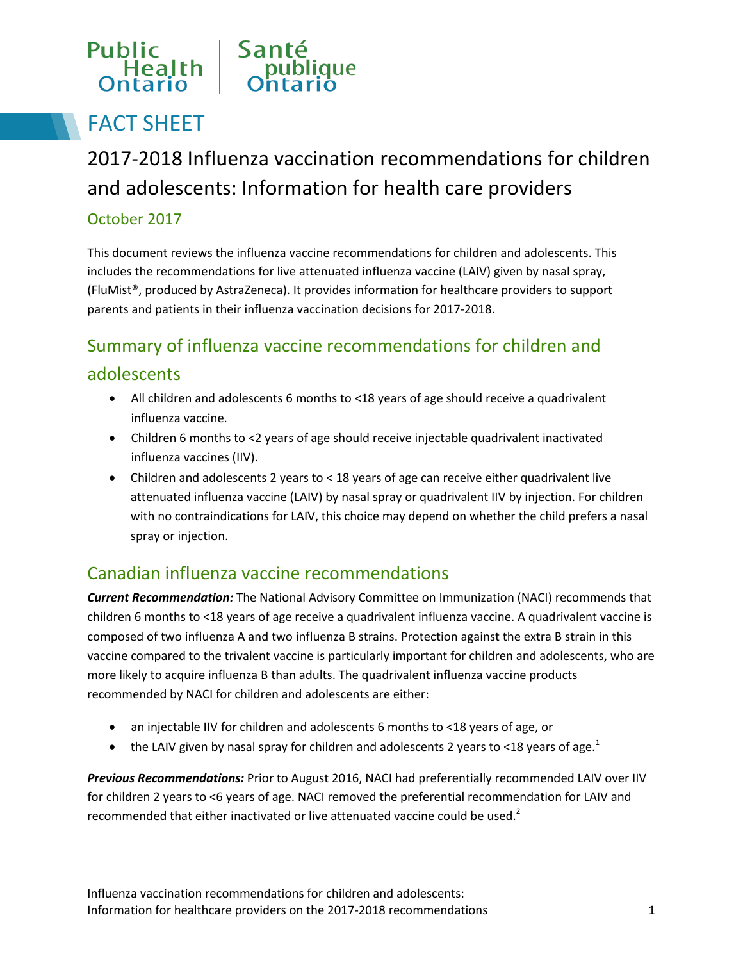### Public Sant Health

# FACT SHEET

2017-2018 Influenza vaccination recommendations for children and adolescents: Information for health care providers

#### October 2017

This document reviews the influenza vaccine recommendations for children and adolescents. This includes the recommendations for live attenuated influenza vaccine (LAIV) given by nasal spray, (FluMist®, produced by AstraZeneca). It provides information for healthcare providers to support parents and patients in their influenza vaccination decisions for 2017-2018.

## Summary of influenza vaccine recommendations for children and adolescents

- All children and adolescents 6 months to <18 years of age should receive a quadrivalent influenza vaccine.
- Children 6 months to <2 years of age should receive injectable quadrivalent inactivated influenza vaccines (IIV).
- Children and adolescents 2 years to < 18 years of age can receive either quadrivalent live attenuated influenza vaccine (LAIV) by nasal spray or quadrivalent IIV by injection. For children with no contraindications for LAIV, this choice may depend on whether the child prefers a nasal spray or injection.

### Canadian influenza vaccine recommendations

*Current Recommendation:* The National Advisory Committee on Immunization (NACI) recommends that children 6 months to <18 years of age receive a quadrivalent influenza vaccine. A quadrivalent vaccine is composed of two influenza A and two influenza B strains. Protection against the extra B strain in this vaccine compared to the trivalent vaccine is particularly important for children and adolescents, who are more likely to acquire influenza B than adults. The quadrivalent influenza vaccine products recommended by NACI for children and adolescents are either:

- an injectable IIV for children and adolescents 6 months to <18 years of age, or
- the LAIV given by nasal spray for children and adolescents 2 years to <18 years of age.<sup>1</sup>

*Previous Recommendations:* Prior to August 2016, NACI had preferentially recommended LAIV over IIV for children 2 years to <6 years of age. NACI removed the preferential recommendation for LAIV and recommended that either inactivated or live attenuated vaccine could be used. $2$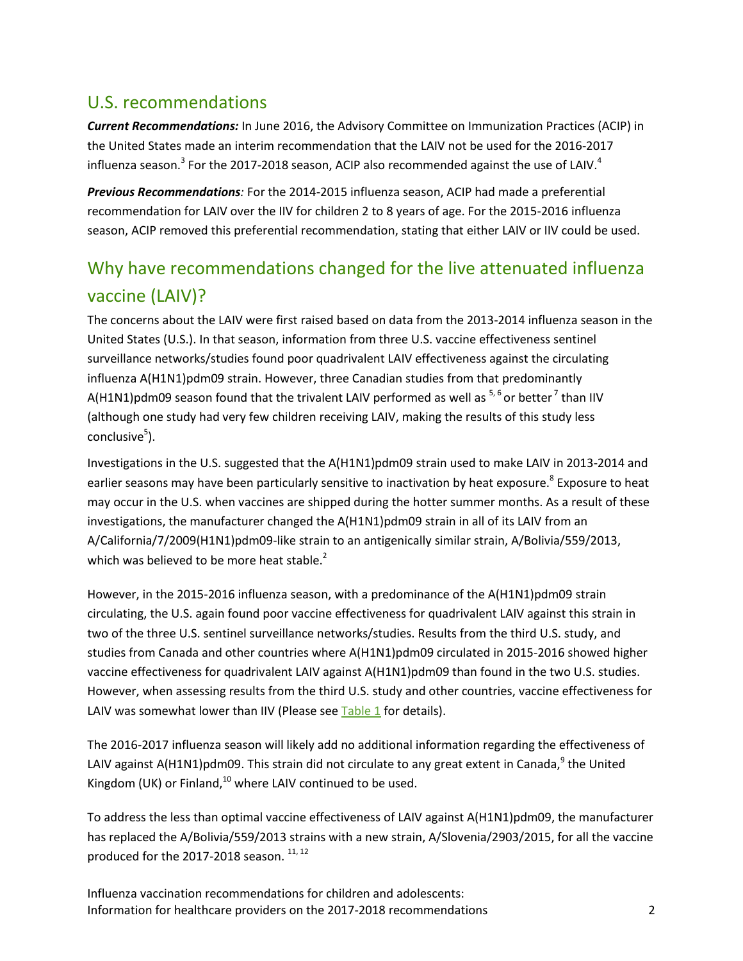#### U.S. recommendations

*Current Recommendations:* In June 2016, the Advisory Committee on Immunization Practices (ACIP) in the United States made an interim recommendation that the LAIV not be used for the 2016-2017 influenza season.<sup>3</sup> For the 2017-2018 season, ACIP also recommended against the use of LAIV.<sup>4</sup>

*Previous Recommendations:* For the 2014-2015 influenza season, ACIP had made a preferential recommendation for LAIV over the IIV for children 2 to 8 years of age. For the 2015-2016 influenza season, ACIP removed this preferential recommendation, stating that either LAIV or IIV could be used.

### Why have recommendations changed for the live attenuated influenza vaccine (LAIV)?

The concerns about the LAIV were first raised based on data from the 2013-2014 influenza season in the United States (U.S.). In that season, information from three U.S. vaccine effectiveness sentinel surveillance networks/studies found poor quadrivalent LAIV effectiveness against the circulating influenza A(H1N1)pdm09 strain. However, three Canadian studies from that predominantly A(H1N1)pdm09 season found that the trivalent LAIV performed as well as  $5.6$  or better<sup>7</sup> than IIV (although one study had very few children receiving LAIV, making the results of this study less conclusive<sup>5</sup>).

Investigations in the U.S. suggested that the A(H1N1)pdm09 strain used to make LAIV in 2013-2014 and earlier seasons may have been particularly sensitive to inactivation by heat exposure.<sup>8</sup> Exposure to heat may occur in the U.S. when vaccines are shipped during the hotter summer months. As a result of these investigations, the manufacturer changed the A(H1N1)pdm09 strain in all of its LAIV from an A/California/7/2009(H1N1)pdm09-like strain to an antigenically similar strain, A/Bolivia/559/2013, which was believed to be more heat stable.<sup>2</sup>

However, in the 2015-2016 influenza season, with a predominance of the A(H1N1)pdm09 strain circulating, the U.S. again found poor vaccine effectiveness for quadrivalent LAIV against this strain in two of the three U.S. sentinel surveillance networks/studies. Results from the third U.S. study, and studies from Canada and other countries where A(H1N1)pdm09 circulated in 2015-2016 showed higher vaccine effectiveness for quadrivalent LAIV against A(H1N1)pdm09 than found in the two U.S. studies. However, when assessing results from the third U.S. study and other countries, vaccine effectiveness for LAIV was somewhat lower than IIV (Please see [Table 1](#page-5-0) for details).

The 2016-2017 influenza season will likely add no additional information regarding the effectiveness of LAIV against A(H1N1)pdm09. This strain did not circulate to any great extent in Canada, $9$  the United Kingdom (UK) or Finland, $10$  where LAIV continued to be used.

To address the less than optimal vaccine effectiveness of LAIV against A(H1N1)pdm09, the manufacturer has replaced the A/Bolivia/559/2013 strains with a new strain, A/Slovenia/2903/2015, for all the vaccine produced for the 2017-2018 season.  $11, 12$ 

Influenza vaccination recommendations for children and adolescents: Information for healthcare providers on the 2017-2018 recommendations 2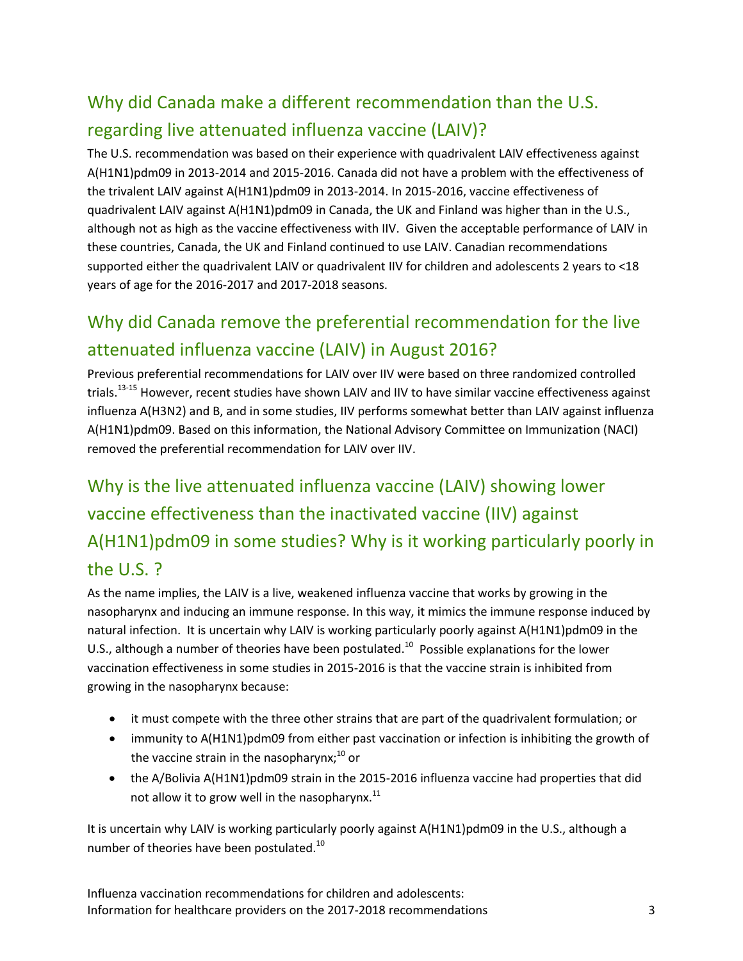## Why did Canada make a different recommendation than the U.S. regarding live attenuated influenza vaccine (LAIV)?

The U.S. recommendation was based on their experience with quadrivalent LAIV effectiveness against A(H1N1)pdm09 in 2013-2014 and 2015-2016. Canada did not have a problem with the effectiveness of the trivalent LAIV against A(H1N1)pdm09 in 2013-2014. In 2015-2016, vaccine effectiveness of quadrivalent LAIV against A(H1N1)pdm09 in Canada, the UK and Finland was higher than in the U.S., although not as high as the vaccine effectiveness with IIV. Given the acceptable performance of LAIV in these countries, Canada, the UK and Finland continued to use LAIV. Canadian recommendations supported either the quadrivalent LAIV or quadrivalent IIV for children and adolescents 2 years to <18 years of age for the 2016-2017 and 2017-2018 seasons.

## Why did Canada remove the preferential recommendation for the live attenuated influenza vaccine (LAIV) in August 2016?

Previous preferential recommendations for LAIV over IIV were based on three randomized controlled trials.<sup>13-15</sup> However, recent studies have shown LAIV and IIV to have similar vaccine effectiveness against influenza A(H3N2) and B, and in some studies, IIV performs somewhat better than LAIV against influenza A(H1N1)pdm09. Based on this information, the National Advisory Committee on Immunization (NACI) removed the preferential recommendation for LAIV over IIV.

Why is the live attenuated influenza vaccine (LAIV) showing lower vaccine effectiveness than the inactivated vaccine (IIV) against A(H1N1)pdm09 in some studies? Why is it working particularly poorly in the U.S. ?

As the name implies, the LAIV is a live, weakened influenza vaccine that works by growing in the nasopharynx and inducing an immune response. In this way, it mimics the immune response induced by natural infection. It is uncertain why LAIV is working particularly poorly against A(H1N1)pdm09 in the U.S., although a number of theories have been postulated.<sup>10</sup> Possible explanations for the lower vaccination effectiveness in some studies in 2015-2016 is that the vaccine strain is inhibited from growing in the nasopharynx because:

- it must compete with the three other strains that are part of the quadrivalent formulation; or
- immunity to A(H1N1)pdm09 from either past vaccination or infection is inhibiting the growth of the vaccine strain in the nasopharynx; $^{10}$  or
- the A/Bolivia A(H1N1)pdm09 strain in the 2015-2016 influenza vaccine had properties that did not allow it to grow well in the nasopharynx. $^{11}$

It is uncertain why LAIV is working particularly poorly against A(H1N1)pdm09 in the U.S., although a number of theories have been postulated.<sup>10</sup>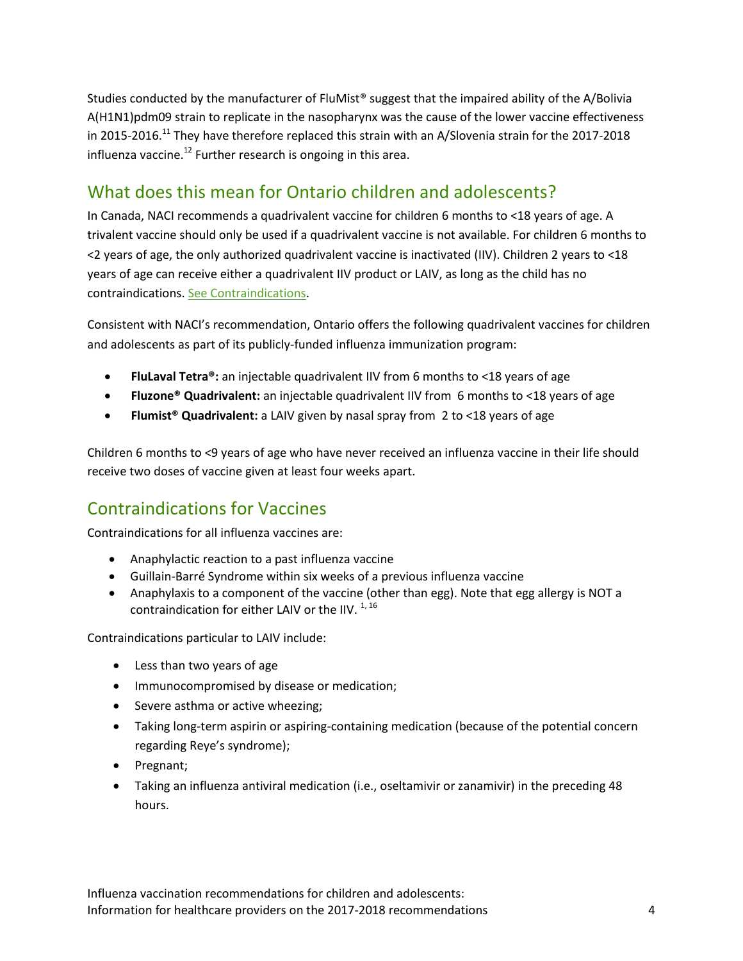Studies conducted by the manufacturer of FluMist<sup>®</sup> suggest that the impaired ability of the A/Bolivia A(H1N1)pdm09 strain to replicate in the nasopharynx was the cause of the lower vaccine effectiveness in 2015-2016.<sup>11</sup> They have therefore replaced this strain with an A/Slovenia strain for the 2017-2018 influenza vaccine.<sup>12</sup> Further research is ongoing in this area.

#### What does this mean for Ontario children and adolescents?

In Canada, NACI recommends a quadrivalent vaccine for children 6 months to <18 years of age. A trivalent vaccine should only be used if a quadrivalent vaccine is not available. For children 6 months to <2 years of age, the only authorized quadrivalent vaccine is inactivated (IIV). Children 2 years to <18 years of age can receive either a quadrivalent IIV product or LAIV, as long as the child has no contraindications. [See Contraindications.](#page-3-0)

Consistent with NACI's recommendation, Ontario offers the following quadrivalent vaccines for children and adolescents as part of its publicly-funded influenza immunization program:

- **FluLaval Tetra®:** an injectable quadrivalent IIV from 6 months to <18 years of age
- **Fluzone® Quadrivalent:** an injectable quadrivalent IIV from 6 months to <18 years of age
- **Flumist® Quadrivalent:** a LAIV given by nasal spray from 2 to <18 years of age

Children 6 months to <9 years of age who have never received an influenza vaccine in their life should receive two doses of vaccine given at least four weeks apart.

### Contraindications for Vaccines

Contraindications for all influenza vaccines are:

- <span id="page-3-0"></span>• Anaphylactic reaction to a past influenza vaccine
- Guillain-Barré Syndrome within six weeks of a previous influenza vaccine
- Anaphylaxis to a component of the vaccine (other than egg). Note that egg allergy is NOT a contraindication for either LAIV or the IIV.  $1,16$

Contraindications particular to LAIV include:

- Less than two years of age
- Immunocompromised by disease or medication;
- Severe asthma or active wheezing;
- Taking long-term aspirin or aspiring-containing medication (because of the potential concern regarding Reye's syndrome);
- Pregnant;
- Taking an influenza antiviral medication (i.e., oseltamivir or zanamivir) in the preceding 48 hours.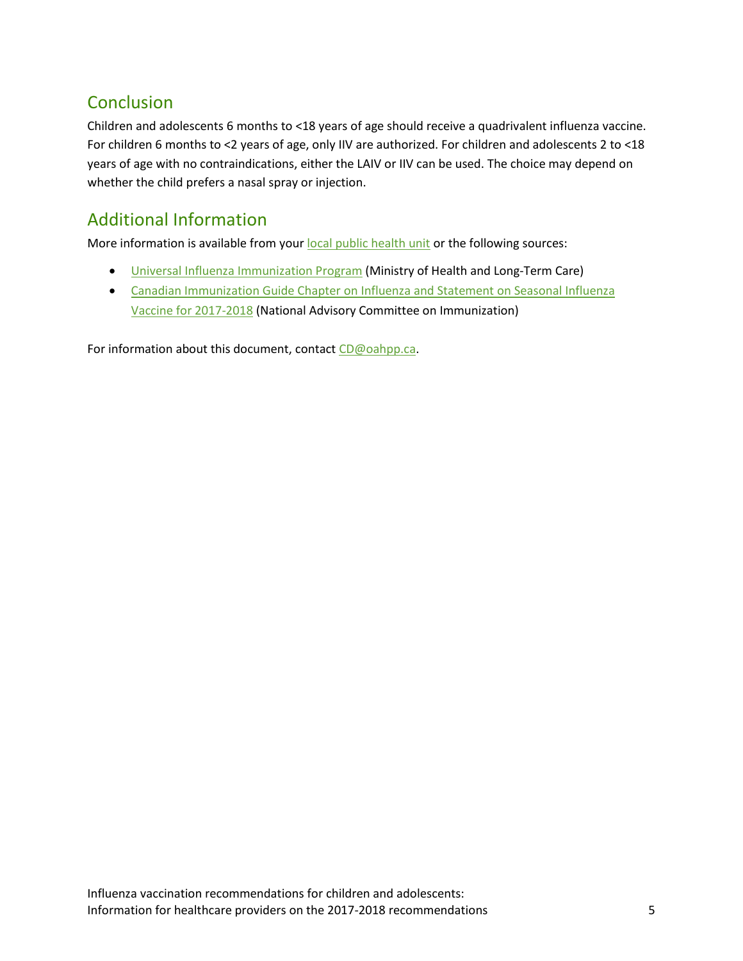### **Conclusion**

Children and adolescents 6 months to <18 years of age should receive a quadrivalent influenza vaccine. For children 6 months to <2 years of age, only IIV are authorized. For children and adolescents 2 to <18 years of age with no contraindications, either the LAIV or IIV can be used. The choice may depend on whether the child prefers a nasal spray or injection.

### Additional Information

More information is available from your [local public health unit](http://www.health.gov.on.ca/en/common/system/services/phu/locations.aspx) or the following sources:

- [Universal Influenza Immunization Program](http://www.health.gov.on.ca/en/pro/programs/publichealth/flu/uiip/default09212017.aspx) (Ministry of Health and Long-Term Care)
- [Canadian Immunization Guide Chapter on Influenza and Statement on Seasonal Influenza](https://www.canada.ca/en/public-health/services/publications/healthy-living/canadian-immunization-guide-statement-seasonal-influenza-vaccine-2017-2018.html)  [Vaccine for 2017-2018](https://www.canada.ca/en/public-health/services/publications/healthy-living/canadian-immunization-guide-statement-seasonal-influenza-vaccine-2017-2018.html) (National Advisory Committee on Immunization)

For information about this document, contact [CD@oahpp.ca.](mailto:CD@oahpp.ca)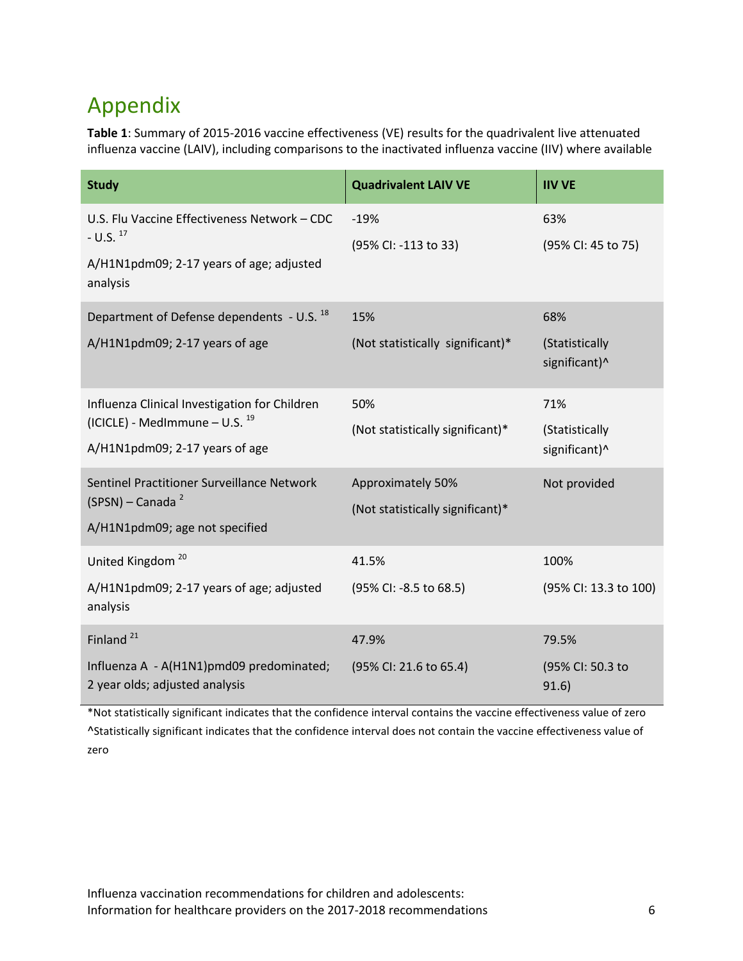# <span id="page-5-0"></span>Appendix

**Table 1**: Summary of 2015-2016 vaccine effectiveness (VE) results for the quadrivalent live attenuated influenza vaccine (LAIV), including comparisons to the inactivated influenza vaccine (IIV) where available

| <b>Study</b>                                                                                                             | <b>Quadrivalent LAIV VE</b>                           | <b>IIV VE</b>                          |
|--------------------------------------------------------------------------------------------------------------------------|-------------------------------------------------------|----------------------------------------|
| U.S. Flu Vaccine Effectiveness Network - CDC<br>$-$ U.S. $^{17}$<br>A/H1N1pdm09; 2-17 years of age; adjusted<br>analysis | $-19%$<br>(95% CI: -113 to 33)                        | 63%<br>(95% CI: 45 to 75)              |
| Department of Defense dependents - U.S. <sup>18</sup><br>A/H1N1pdm09; 2-17 years of age                                  | 15%<br>(Not statistically significant)*               | 68%<br>(Statistically<br>significant)^ |
| Influenza Clinical Investigation for Children<br>(ICICLE) - MedImmune - U.S. $^{19}$<br>A/H1N1pdm09; 2-17 years of age   | 50%<br>(Not statistically significant)*               | 71%<br>(Statistically<br>significant)^ |
| Sentinel Practitioner Surveillance Network<br>(SPSN) - Canada <sup>2</sup><br>A/H1N1pdm09; age not specified             | Approximately 50%<br>(Not statistically significant)* | Not provided                           |
| United Kingdom <sup>20</sup><br>A/H1N1pdm09; 2-17 years of age; adjusted<br>analysis                                     | 41.5%<br>(95% CI: -8.5 to 68.5)                       | 100%<br>(95% CI: 13.3 to 100)          |
| Finland <sup>21</sup><br>Influenza A - A(H1N1)pmd09 predominated;<br>2 year olds; adjusted analysis                      | 47.9%<br>(95% CI: 21.6 to 65.4)                       | 79.5%<br>(95% CI: 50.3 to<br>91.6)     |

\*Not statistically significant indicates that the confidence interval contains the vaccine effectiveness value of zero ^Statistically significant indicates that the confidence interval does not contain the vaccine effectiveness value of zero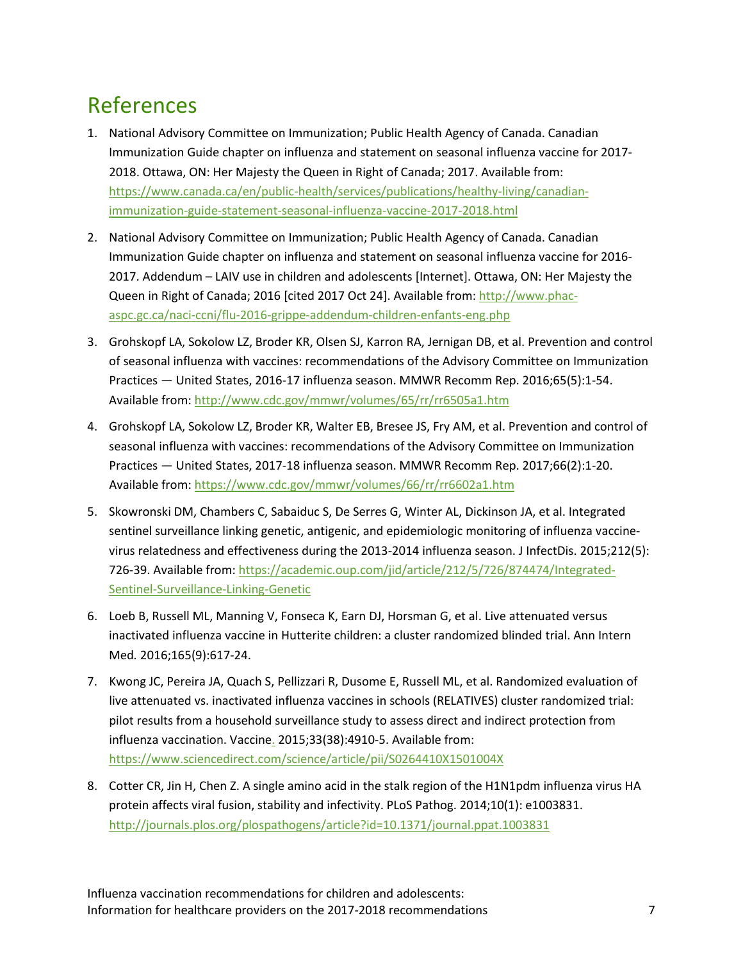# References

- 1. National Advisory Committee on Immunization; Public Health Agency of Canada. Canadian Immunization Guide chapter on influenza and statement on seasonal influenza vaccine for 2017- 2018. Ottawa, ON: Her Majesty the Queen in Right of Canada; 2017. Available from: [https://www.canada.ca/en/public-health/services/publications/healthy-living/canadian](https://www.canada.ca/en/public-health/services/publications/healthy-living/canadian-immunization-guide-statement-seasonal-influenza-vaccine-2017-2018.html)[immunization-guide-statement-seasonal-influenza-vaccine-2017-2018.html](https://www.canada.ca/en/public-health/services/publications/healthy-living/canadian-immunization-guide-statement-seasonal-influenza-vaccine-2017-2018.html)
- 2. National Advisory Committee on Immunization; Public Health Agency of Canada. Canadian Immunization Guide chapter on influenza and statement on seasonal influenza vaccine for 2016- 2017. Addendum – LAIV use in children and adolescents [Internet]. Ottawa, ON: Her Majesty the Queen in Right of Canada; 2016 [cited 2017 Oct 24]. Available from: [http://www.phac](http://www.phac-aspc.gc.ca/naci-ccni/flu-2016-grippe-addendum-children-enfants-eng.php)[aspc.gc.ca/naci-ccni/flu-2016-grippe-addendum-children-enfants-eng.php](http://www.phac-aspc.gc.ca/naci-ccni/flu-2016-grippe-addendum-children-enfants-eng.php)
- 3. Grohskopf LA, Sokolow LZ, Broder KR, Olsen SJ, Karron RA, Jernigan DB, et al. Prevention and control of seasonal influenza with vaccines: recommendations of the Advisory Committee on Immunization Practices — United States, 2016-17 influenza season. MMWR Recomm Rep. 2016;65(5):1-54. Available from:<http://www.cdc.gov/mmwr/volumes/65/rr/rr6505a1.htm>
- 4. Grohskopf LA, Sokolow LZ, Broder KR, Walter EB, Bresee JS, Fry AM, et al. Prevention and control of seasonal influenza with vaccines: recommendations of the Advisory Committee on Immunization Practices — United States, 2017-18 influenza season. MMWR Recomm Rep. 2017;66(2):1-20. Available from:<https://www.cdc.gov/mmwr/volumes/66/rr/rr6602a1.htm>
- 5. Skowronski DM, Chambers C, Sabaiduc S, De Serres G, Winter AL, Dickinson JA, et al. Integrated sentinel surveillance linking genetic, antigenic, and epidemiologic monitoring of influenza vaccinevirus relatedness and effectiveness during the 2013-2014 influenza season. J InfectDis. 2015;212(5): 726-39. Available from: [https://academic.oup.com/jid/article/212/5/726/874474/Integrated-](https://academic.oup.com/jid/article/212/5/726/874474/Integrated-Sentinel-Surveillance-Linking-Genetic)[Sentinel-Surveillance-Linking-Genetic](https://academic.oup.com/jid/article/212/5/726/874474/Integrated-Sentinel-Surveillance-Linking-Genetic)
- 6. Loeb B, Russell ML, Manning V, Fonseca K, Earn DJ, Horsman G, et al. Live attenuated versus inactivated influenza vaccine in Hutterite children: a cluster randomized blinded trial. Ann Intern Med*.* 2016;165(9):617-24.
- 7. Kwong JC, Pereira JA, Quach S, Pellizzari R, Dusome E, Russell ML, et al. Randomized evaluation of live attenuated vs. inactivated influenza vaccines in schools (RELATIVES) cluster randomized trial: pilot results from a household surveillance study to assess direct and indirect protection from influenza vaccination. Vaccine. 2015;33(38):4910-5. Available from: <https://www.sciencedirect.com/science/article/pii/S0264410X1501004X>
- 8. Cotter CR, Jin H, Chen Z. A single amino acid in the stalk region of the H1N1pdm influenza virus HA protein affects viral fusion, stability and infectivity. PLoS Pathog. 2014;10(1): e1003831. <http://journals.plos.org/plospathogens/article?id=10.1371/journal.ppat.1003831>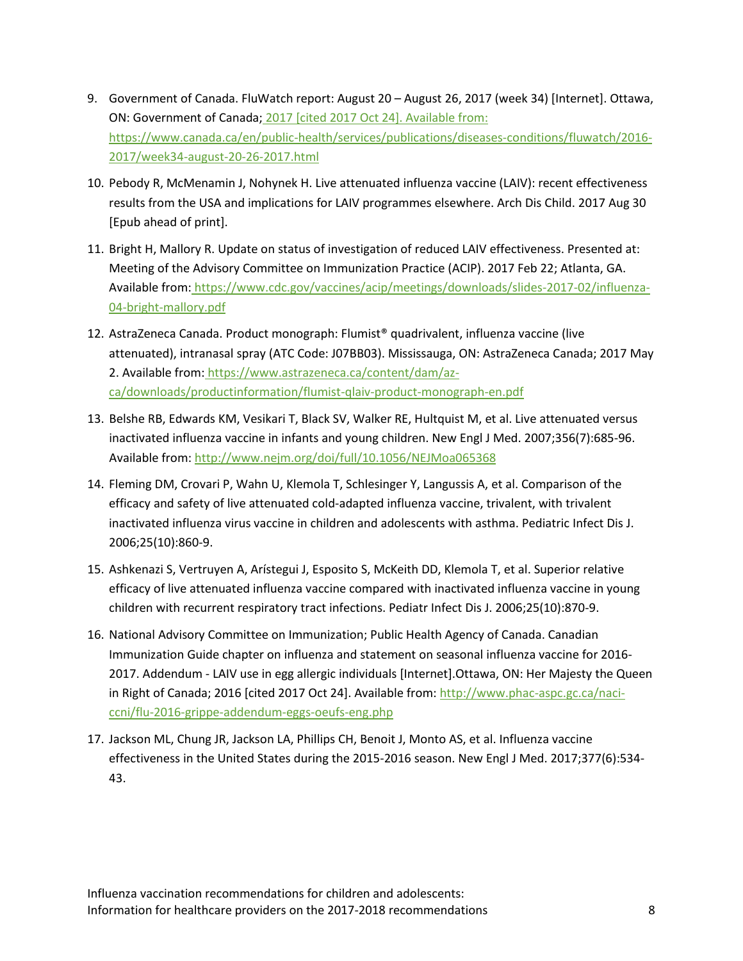- 9. Government of Canada. FluWatch report: August 20 August 26, 2017 (week 34) [Internet]. Ottawa, ON: Government of Canada; 2017 [cited 2017 Oct 24]. Available from: [https://www.canada.ca/en/public-health/services/publications/diseases-conditions/fluwatch/2016-](https://www.canada.ca/en/public-health/services/publications/diseases-conditions/fluwatch/2016-2017/week34-august-20-26-2017.html) [2017/week34-august-20-26-2017.html](https://www.canada.ca/en/public-health/services/publications/diseases-conditions/fluwatch/2016-2017/week34-august-20-26-2017.html)
- 10. Pebody R, McMenamin J, Nohynek H. Live attenuated influenza vaccine (LAIV): recent effectiveness results from the USA and implications for LAIV programmes elsewhere. Arch Dis Child. 2017 Aug 30 [Epub ahead of print].
- 11. Bright H, Mallory R. Update on status of investigation of reduced LAIV effectiveness. Presented at: Meeting of the Advisory Committee on Immunization Practice (ACIP). 2017 Feb 22; Atlanta, GA. Available from: [https://www.cdc.gov/vaccines/acip/meetings/downloads/slides-2017-02/influenza-](https://www.cdc.gov/vaccines/acip/meetings/downloads/slides-2017-02/influenza-04-bright-mallory.pdf)[04-bright-mallory.pdf](https://www.cdc.gov/vaccines/acip/meetings/downloads/slides-2017-02/influenza-04-bright-mallory.pdf)
- 12. AstraZeneca Canada. Product monograph: Flumist® quadrivalent, influenza vaccine (live attenuated), intranasal spray (ATC Code: J07BB03). Mississauga, ON: AstraZeneca Canada; 2017 May 2. Available from: [https://www.astrazeneca.ca/content/dam/az](https://www.astrazeneca.ca/content/dam/az-ca/downloads/productinformation/flumist-qlaiv-product-monograph-en.pdf)[ca/downloads/productinformation/flumist-qlaiv-product-monograph-en.pdf](https://www.astrazeneca.ca/content/dam/az-ca/downloads/productinformation/flumist-qlaiv-product-monograph-en.pdf)
- 13. Belshe RB, Edwards KM, Vesikari T, Black SV, Walker RE, Hultquist M, et al. Live attenuated versus inactivated influenza vaccine in infants and young children. New Engl J Med. 2007;356(7):685-96. Available from:<http://www.nejm.org/doi/full/10.1056/NEJMoa065368>
- 14. Fleming DM, Crovari P, Wahn U, Klemola T, Schlesinger Y, Langussis A, et al. Comparison of the efficacy and safety of live attenuated cold-adapted influenza vaccine, trivalent, with trivalent inactivated influenza virus vaccine in children and adolescents with asthma. Pediatric Infect Dis J. 2006;25(10):860-9.
- 15. Ashkenazi S, Vertruyen A, Arístegui J, Esposito S, McKeith DD, Klemola T, et al. Superior relative efficacy of live attenuated influenza vaccine compared with inactivated influenza vaccine in young children with recurrent respiratory tract infections. Pediatr Infect Dis J. 2006;25(10):870-9.
- 16. National Advisory Committee on Immunization; Public Health Agency of Canada. Canadian Immunization Guide chapter on influenza and statement on seasonal influenza vaccine for 2016- 2017. Addendum - LAIV use in egg allergic individuals [Internet].Ottawa, ON: Her Majesty the Queen in Right of Canada; 2016 [cited 2017 Oct 24]. Available from[: http://www.phac-aspc.gc.ca/naci](http://www.phac-aspc.gc.ca/naci-ccni/flu-2016-grippe-addendum-eggs-oeufs-eng.php)[ccni/flu-2016-grippe-addendum-eggs-oeufs-eng.php](http://www.phac-aspc.gc.ca/naci-ccni/flu-2016-grippe-addendum-eggs-oeufs-eng.php)
- 17. Jackson ML, Chung JR, Jackson LA, Phillips CH, Benoit J, Monto AS, et al. Influenza vaccine effectiveness in the United States during the 2015-2016 season. New Engl J Med. 2017;377(6):534- 43.